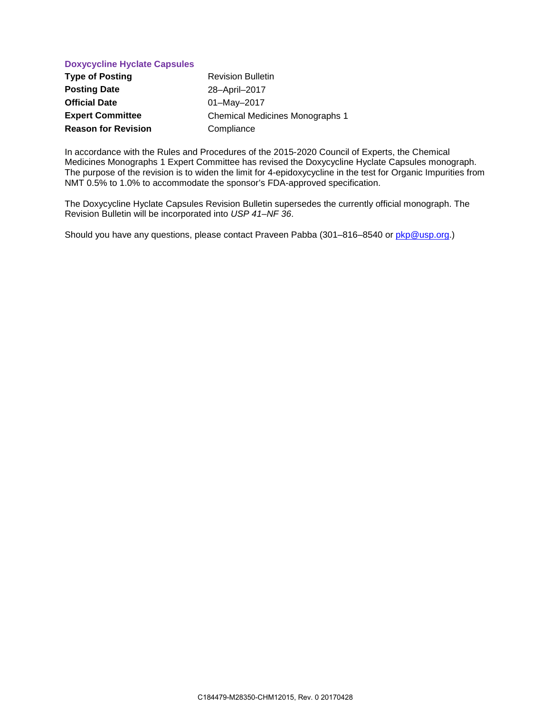## **Doxycycline Hyclate Capsules**

| <b>Type of Posting</b>     | <b>Revision Bulletin</b>               |
|----------------------------|----------------------------------------|
| <b>Posting Date</b>        | 28-April-2017                          |
| <b>Official Date</b>       | 01-May-2017                            |
| <b>Expert Committee</b>    | <b>Chemical Medicines Monographs 1</b> |
| <b>Reason for Revision</b> | Compliance                             |

In accordance with the Rules and Procedures of the 2015-2020 Council of Experts, the Chemical Medicines Monographs 1 Expert Committee has revised the Doxycycline Hyclate Capsules monograph. The purpose of the revision is to widen the limit for 4-epidoxycycline in the test for Organic Impurities from NMT 0.5% to 1.0% to accommodate the sponsor's FDA-approved specification.

The Doxycycline Hyclate Capsules Revision Bulletin supersedes the currently official monograph. The Revision Bulletin will be incorporated into *USP 41–NF 36*.

Should you have any questions, please contact Praveen Pabba (301-816-8540 or [pkp@usp.org.](mailto:pkp@usp.org))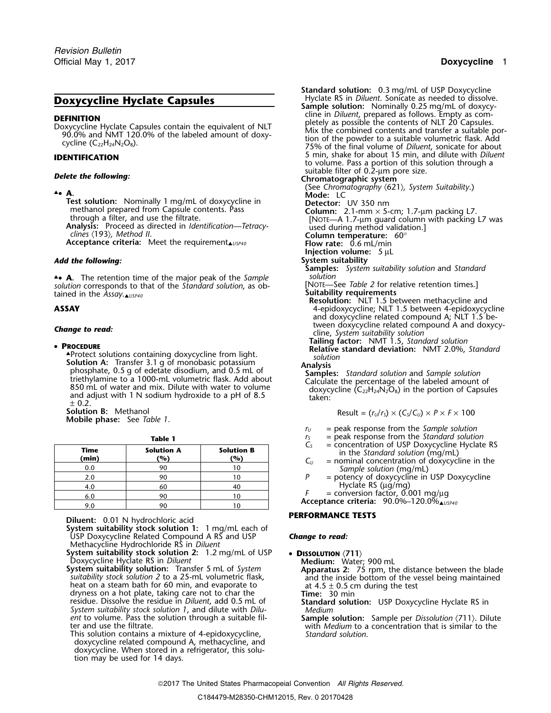# **Doxycycline Hyclate Capsules**

**Test solution:** Nominally 1 mg/mL of doxycycline in **Detector:** UV 350 nm<br>methanol prepared from Capsule contents. Pass **Column:** 2.1-mm × 5-

## **Add the following:**

▲**.**• **<sup>A</sup>.** The retention time of the major peak of the *Sample solution*

**Solution A:** Transfer 3.1 g of monobasic potassium<br>
phosphate, 0.5 g of edetate disodium, and 0.5 mL of<br>
triethylamine to a 1000-mL volumetric flask. Add about<br>
850 mL of water and mix. Dilute with water to volume<br>
and a  $± 0.2.$ 

 $Solution B: Methanol$ 

**Mobile phase:** See *Table 1*.

| . . |    | ٠  |  |
|-----|----|----|--|
|     | ۰. | M. |  |
| ×   |    |    |  |

| Time<br>(min) | <b>Solution A</b><br>(%) | <b>Solution B</b><br>(%) |
|---------------|--------------------------|--------------------------|
| 0.0           | 90                       |                          |
| 2.0           | 90                       |                          |
| 4.0           | 60                       |                          |
| 6.0           | 90                       |                          |
|               |                          |                          |

**Diluent:** 0.01 N hydrochloric acid **PERFORMANCE TESTS** 

**System suitability stock solution 1:** 1 mg/mL each of USP Doxycycline Related Compound A RS and USP *Change to read:* Methacycline Hydrochloride RS in *Diluent*<br>System suitability stock solution 2: 1.2 mg/mL of USP

System suitability stock solution 2:  $1.2 \text{ mg/mL}$  of USP <br>Dussolution: Transfer 5 mL of System<br>System suitability solution: Transfer 5 mL of System<br>suitability stock solution 2 to a 25-mL volumetric flask,<br>heat on a steam residue. Dissolve the residue in *Diluent*, add 0.5 mL of **Standard solution:** USP Doxycycline Hyclate RS in *System suitability stock solution 1*, and dilute with *Dilu- Medium ent* to volume. Pass the solution through a suitable fil- **Sample solution:** Sample per *Dissolution* 〈711〉. Dilute

This solution contains a mixture of 4-epidoxycycline, *Standard solution*. doxycycline related compound A, methacycline, and doxycycline. When stored in a refrigerator, this solution may be used for 14 days.

**Standard solution:** 0.3 mg/mL of USP Doxycycline **Sample solution:** Nominally 0.25 mg/mL of doxycy-**DEFINITION**<br>
Doxycycline Hyclate Capsules contain the equivalent of NLT<br>
Doxycycline Hyclate Capsules contain the equivalent of NLT<br>
90.0% and NMT 120.0% of the labeled amount of doxy-<br>
THENTIEL ATION<br>
THENTIEL ATION<br>
IDE **IDENTIFICATION**<br>5 min, shake for about 15 min, and dilute with *Diluit*<br>5 to volume. Pass a portion of this solution through a<br>5 suitable filter of 0.2-µm pore size. **Delete the following: Chromatographic system** (See *Chromatography* 〈621〉*, System Suitability*.) ▲**.**• **A. Mode:** LC methanol prepared from Capsule contents. Pass<br>
through a filter, and use the filtrate.<br>
Analysis: Proceed as directed in *Identification—Tetracy*-<br>
Column: 2.1-mm × 5-cm; 1.7-µm packing L7.<br>
(NOTE—A 1.7-µm guard column wi **Injection volume:** 5 µL<br>System suitability **Samples:** *System suitability solution* and *Standard* solution corresponds to that of the *Standard solution*, as ob-<br> **EXECUTE** Solution corresponds to that of the *Standard solution*, as ob-<br> **EXECUTE** Solution: NLT 1.5 between methacycline and<br> **ASSAY** 4-epidoxycycline; N 4-epidoxycycline; NLT 1.5 between 4-epidoxycycline and doxycycline related compound A; NLT 1.5 be-<br>tween doxycycline related compound A and doxycytween doxycycline related compound A and doxycy- *Change to read:* cline, *System suitability solution* **Tailing factor:** NMT 1.5, *Standard solution* •**PROCEDURE**<br>**Relative standard deviation:** NMT 2.0%, *Standard*<br>*Relative standard deviation:* NMT 2.0%, *Standard*<br>*Solution* 

Result = 
$$
(r_U/r_S) \times (C_S/C_U) \times P \times F \times 100
$$

- *<sup>r</sup><sup>U</sup>* = peak response from the *Sample solution*
- 
- $r_S$  = peak response from the *Standard solution*<br> $C_S$  = concentration of USP Doxycycline Hyclate RS  $C_U$  = nominal concentration of doxycycline in the
- Sample solution (mg/mL)<br>P = potency of doxycycline in
	- $=$  potency of doxycycline in USP Doxycycline Hyclate RS ( $\mu$ g/mg)<br>= conversion factor, 0.001 mg/ $\mu$ g
- 
- **Acceptance criteria: 90.0%–120.0%**▲*USP40*

with *Medium* to a concentration that is similar to the